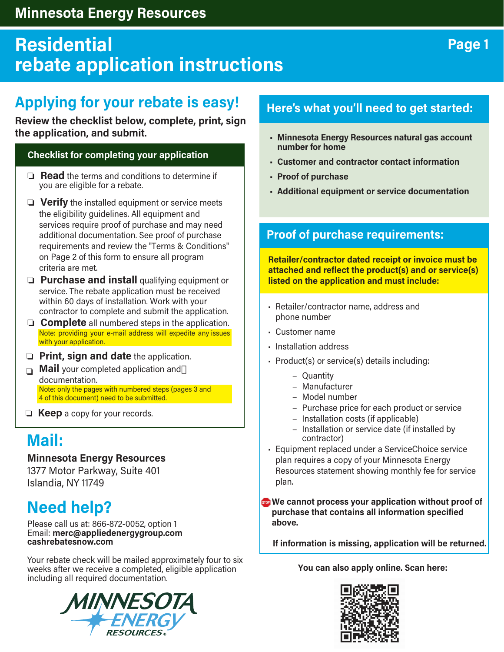### **Minnesota Energy Resources**

# **Residential rebate application instructions**

# **Applying for your rebate is easy!**

#### Review the checklist below, complete, print, sign **the application, and submit.**

#### **Checklist for completing your application**

- $\Box$  **Read** the terms and conditions to determine if you are eligible for a rebate.
- $\Box$  Verify the installed equipment or service meets the eligibility guidelines. All equipment and services require proof of purchase and may need additional documentation. See proof of purchase requirements and review the "Terms & Conditions" on Page 2 of this form to ensure all program criteria are met.
- **D** Purchase and install qualifying equipment or service. The rebate application must be received within 60 days of installation. Work with your contractor to complete and submit the application.
- $\Box$  **Complete** all numbered steps in the application. Note: providing your e-mail address will expedite any issues with your application.
- **p** Print, sign and date the application.
- **Mail** your completed application and documentation. Note: only the pages with numbered steps (pages 3 and 4 of this document) need to be submitted.
- **Example 2 Keep** a copy for your records.

## **Mail:**

### **Minnesota Energy Resources**

1377 Motor Parkway, Suite 401 Islandia, NY 11749

## **Need help?**

Please call us at: 866-872-0052, option 1 Email: **merc@appliedenergygroup.com cashrebatesnow.com**

Your rebate check will be mailed approximately four to six weeks after we receive a completed, eligible application including all required documentation.



### **Here's what you'll need to get started:**

- **Minnesota Energy Resources natural gas account number for home**
- **Customer and contractor contact information**
- **• Proof of purchase**
- **•** Additional equipment or service documentation

### **Proof of purchase requirements:**

**Retailer/contractor dated receipt or invoice must be attached and reflect the product(s) and or service(s) listed on the application and must include:**

- Retailer/contractor name, address and phone number
- Customer name
- Installation address
- Product(s) or service(s) details including:
	- Quantity
	- Manufacturer
	- Model number
	- Purchase price for each product or service
	- Installation costs (if applicable)
	- Installation or service date (if installed by contractor)
- Equipment replaced under a ServiceChoice service plan requires a copy of your Minnesota Energy Resources statement showing monthly fee for service plan.

**We cannot process your application without proof of purchase that contains all information specified above.**

If information is missing, application will be returned.

**You can also apply online. Scan here:**



### **Page 1**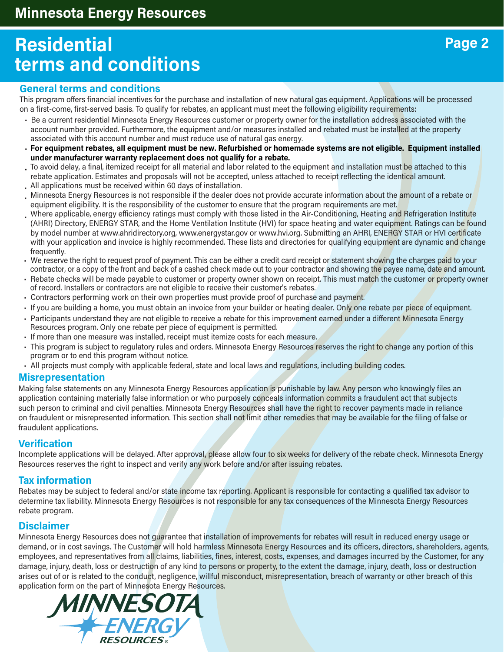# **Residential terms and conditions**

#### **General terms and conditions**

This program offers financial incentives for the purchase and installation of new natural gas equipment. Applications will be processed on a first-come, first-served basis. To qualify for rebates, an applicant must meet the following eligibility requirements:

- Be a current residential Minnesota Energy Resources customer or property owner for the installation address associated with the account number provided. Furthermore, the equipment and/or measures installed and rebated must be installed at the property associated with this account number and must reduce use of natural gas energy.
- **For equipment rebates, all equipment must be new. Refurbished or homemade systems are not eligible. Equipment installed under manufacturer warranty replacement does not qualify for a rebate.**
- To avoid delay, a final, itemized receipt for all material and labor related to the equipment and installation must be attached to this rebate application. Estimates and proposals will not be accepted, unless attached to receipt reflecting the identical amount. All applications must be received within 60 days of installation.
- Minnesota Energy Resources is not responsible if the dealer does not provide accurate information about the amount of a rebate or equipment eligibility. It is the responsibility of the customer to ensure that the program requirements are met. •
- Where applicable, energy efficiency ratings must comply with those listed in the Air-Conditioning, Heating and Refrigeration Institute (AHRI) Directory, ENERGY STAR, and the Home Ventilation Institute (HVI) for space heating and water equipment. Ratings can be found by model number at www.ahridirectory.org, www.energystar.gov or www.hvi.org. Submitting an AHRI, ENERGY STAR or HVI certificate with your application and invoice is highly recommended. These lists and directories for qualifying equipment are dynamic and change frequently. •
- We reserve the right to request proof of payment. This can be either a credit card receipt or statement showing the charges paid to your contractor, or a copy of the front and back of a cashed check made out to your contractor and showing the payee name, date and amount.
- Rebate checks will be made payable to customer or property owner shown on receipt. This must match the customer or property owner of record. Installers or contractors are not eligible to receive their customer's rebates.
- Contractors performing work on their own properties must provide proof of purchase and payment.
- If you are building a home, you must obtain an invoice from your builder or heating dealer. Only one rebate per piece of equipment.
- Participants understand they are not eligible to receive a rebate for this improvement earned under a different Minnesota Energy Resources program. Only one rebate per piece of equipment is permitted.
- If more than one measure was installed, receipt must itemize costs for each measure.
- This program is subject to regulatory rules and orders. Minnesota Energy Resources reserves the right to change any portion of this program or to end this program without notice.
- All projects must comply with applicable federal, state and local laws and regulations, including building codes.

#### **Misrepresentation**

Making false statements on any Minnesota Energy Resources application is punishable by law. Any person who knowingly files an application containing materially false information or who purposely conceals information commits a fraudulent act that subjects such person to criminal and civil penalties. Minnesota Energy Resources shall have the right to recover payments made in reliance on fraudulent or misrepresented information. This section shall not limit other remedies that may be available for the filing of false or fraudulent applications.

#### **Verification**

Incomplete applications will be delayed. After approval, please allow four to six weeks for delivery of the rebate check. Minnesota Energy Resources reserves the right to inspect and verify any work before and/or after issuing rebates.

#### **Tax information**

Rebates may be subject to federal and/or state income tax reporting. Applicant is responsible for contacting a qualified tax advisor to determine tax liability. Minnesota Energy Resources is not responsible for any tax consequences of the Minnesota Energy Resources rebate program.

#### **Disclaimer**

Minnesota Energy Resources does not quarantee that installation of improvements for rebates will result in reduced energy usage or demand, or in cost savings. The Customer will hold harmless Minnesota Energy Resources and its officers, directors, shareholders, agents, employees, and representatives from all claims, liabilities, fines, interest, costs, expenses, and damages incurred by the Customer, for any damage, injury, death, loss or destruction of any kind to persons or property, to the extent the damage, injury, death, loss or destruction arises out of or is related to the conduct, negligence, willful misconduct, misrepresentation, breach of warranty or other breach of this application form on the part of Minnesota Energy Resources.

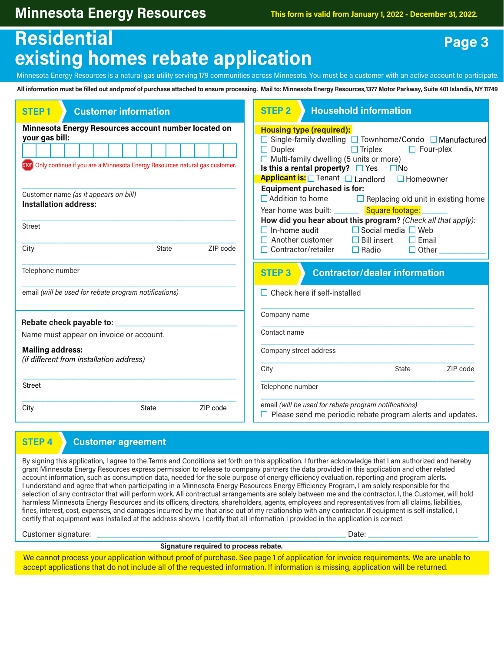### **Residential existing homes rebate application**

Minnesota Energy Resources is a natural gas utility serving 179 communities across Minnesota. You must be a customer with an active account to participate.

**All information must be filled out andproof of purchase attached to ensure processing. Mail to: Minnesota Energy Resources,1377 Motor Parkway, Suite 401 Islandia, NY 11749**

| <b>Customer information</b><br><b>STEP1</b>                                                                                                                  | <b>Household information</b><br><b>STEP 2</b>                                                                                                                                                                                                                               |
|--------------------------------------------------------------------------------------------------------------------------------------------------------------|-----------------------------------------------------------------------------------------------------------------------------------------------------------------------------------------------------------------------------------------------------------------------------|
| Minnesota Energy Resources account number located on<br>your gas bill:<br>[STOP] Only continue if you are a Minnesota Energy Resources natural gas customer. | <b>Housing type (required):</b><br>$\Box$ Single-family dwelling $\Box$ Townhome/Condo $\Box$ Manufactured<br>$\Box$ Duplex<br>$\Box$ Triplex<br>$\Box$ Four-plex<br>$\Box$ Multi-family dwelling (5 units or more)<br>Is this a rental property? $\Box$ Yes $\Box$ No      |
| Customer name (as it appears on bill)<br><b>Installation address:</b>                                                                                        | Applicant is: Tenant Landlord<br>$\Box$ Homeowner<br><b>Equipment purchased is for:</b><br>$\Box$ Addition to home<br>$\Box$ Replacing old unit in existing home<br>Square footage:<br>Year home was built:<br>How did you hear about this program? (Check all that apply): |
| <b>Street</b><br>ZIP code<br>City<br><b>State</b>                                                                                                            | $\Box$ In-home audit<br>$\Box$ Social media $\Box$ Web<br>$\Box$ Another customer<br>$\Box$ Bill insert<br>$\Box$ Email<br>$\Box$ Contractor/retailer<br>$\Box$ Radio<br>$\Box$ Other                                                                                       |
| Telephone number                                                                                                                                             | <b>Contractor/dealer information</b><br><b>STEP 3</b>                                                                                                                                                                                                                       |
| email (will be used for rebate program notifications)                                                                                                        | $\Box$ Check here if self-installed                                                                                                                                                                                                                                         |
| Rebate check payable to:                                                                                                                                     | Company name                                                                                                                                                                                                                                                                |
|                                                                                                                                                              |                                                                                                                                                                                                                                                                             |
| Name must appear on invoice or account.                                                                                                                      | Contact name                                                                                                                                                                                                                                                                |
| <b>Mailing address:</b><br>(if different from installation address)                                                                                          | Company street address                                                                                                                                                                                                                                                      |
|                                                                                                                                                              | ZIP code<br><b>State</b><br>City                                                                                                                                                                                                                                            |
| <b>Street</b>                                                                                                                                                | Telephone number                                                                                                                                                                                                                                                            |

#### **STEP 4 Customer agreement**

By signing this application, I agree to the Terms and Conditions set forth on this application. I further acknowledge that I am authorized and hereby grant Minnesota Energy Resources express permission to release to company partners the data provided in this application and other related account information, such as consumption data, needed for the sole purpose of energy efficiency evaluation, reporting and program alerts. I understand and agree that when participating in a Minnesota Energy Resources Energy Efficiency Program, I am solely responsible for the selection of any contractor that will perform work. All contractual arrangements are solely between me and the contractor. I, the Customer, will hold harmless Minnesota Energy Resources and its officers, directors, shareholders, agents, employees and representatives from all claims, liabilities, fines, interest, cost, expenses, and damages incurred by me that arise out of my relationship with any contractor. If equipment is self-installed, I certify that equipment was installed at the address shown. I certify that all information I provided in the application is correct.

Customer signature: \_\_\_\_\_\_\_\_\_\_\_\_\_\_\_\_\_\_\_\_\_\_\_\_\_\_\_\_\_\_\_\_\_\_\_\_\_\_\_\_\_\_\_\_\_\_\_\_\_\_\_\_\_\_\_\_\_\_\_ Date: \_\_\_\_\_\_\_\_\_\_\_\_\_\_\_\_\_\_\_\_\_\_\_\_\_\_

**Signature required to process rebate.**

We cannot process your application without proof of purchase. See page 1 of application for invoice requirements. We are unable to accept applications that do not include all of the requested information. If information is missing, application will be returned.